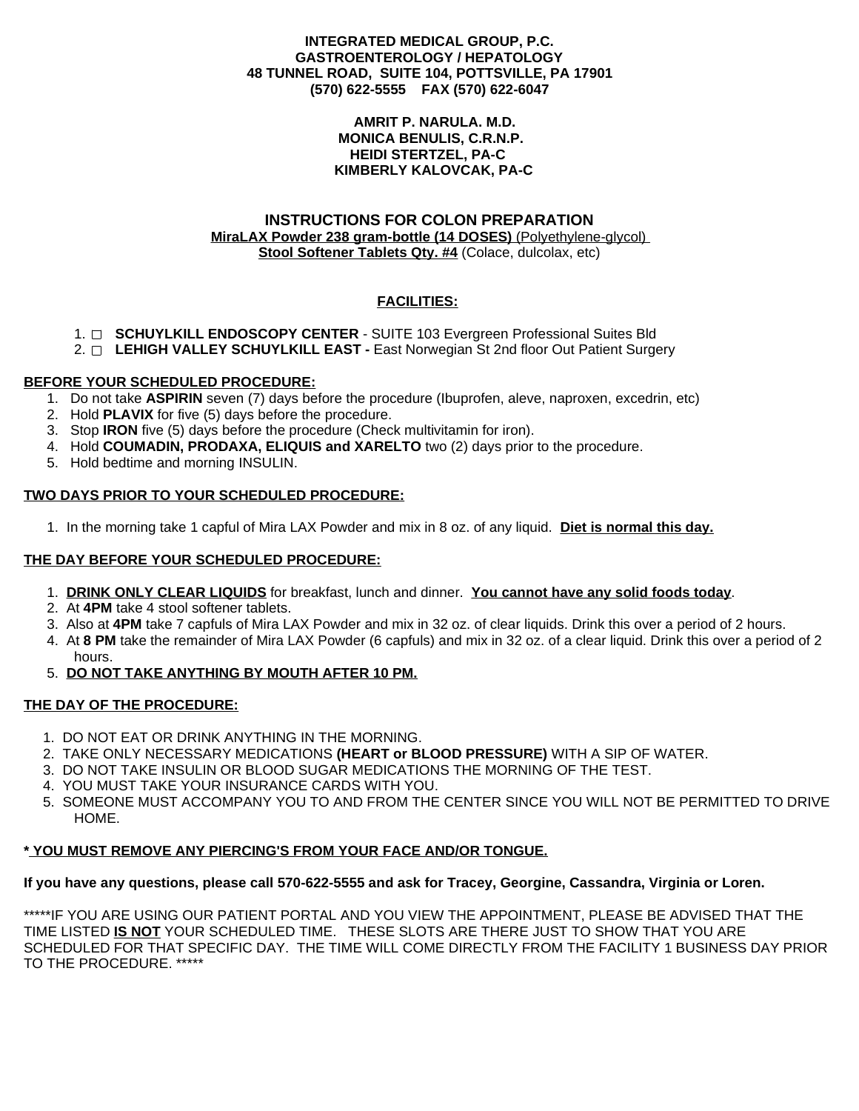## **INTEGRATED MEDICAL GROUP, P.C. GASTROENTEROLOGY / HEPATOLOGY 48 TUNNEL ROAD, SUITE 104, POTTSVILLE, PA 17901 (570) 622-5555 FAX (570) 622-6047**

#### **AMRIT P. NARULA. M.D. MONICA BENULIS, C.R.N.P. HEIDI STERTZEL, PA-C KIMBERLY KALOVCAK, PA-C**

## **INSTRUCTIONS FOR COLON PREPARATION MiraLAX Powder 238 gram-bottle (14 DOSES)** (Polyethylene-glycol) **Stool Softener Tablets Qty. #4** (Colace, dulcolax, etc)

# **FACILITIES:**

- 1. **SCHUYLKILL ENDOSCOPY CENTER** SUITE 103 Evergreen Professional Suites Bld
- 2. **LEHIGH VALLEY SCHUYLKILL EAST -** East Norwegian St 2nd floor Out Patient Surgery

## **BEFORE YOUR SCHEDULED PROCEDURE:**

- 1. Do not take **ASPIRIN** seven (7) days before the procedure (Ibuprofen, aleve, naproxen, excedrin, etc)
- 2. Hold **PLAVIX** for five (5) days before the procedure.
- 3. Stop **IRON** five (5) days before the procedure (Check multivitamin for iron).
- 4. Hold **COUMADIN, PRODAXA, ELIQUIS and XARELTO** two (2) days prior to the procedure.
- 5. Hold bedtime and morning INSULIN.

## **TWO DAYS PRIOR TO YOUR SCHEDULED PROCEDURE:**

1. In the morning take 1 capful of Mira LAX Powder and mix in 8 oz. of any liquid. **Diet is normal this day.**

## **THE DAY BEFORE YOUR SCHEDULED PROCEDURE:**

- 1. **DRINK ONLY CLEAR LIQUIDS** for breakfast, lunch and dinner. **You cannot have any solid foods today**.
- 2. At **4PM** take 4 stool softener tablets.
- 3. Also at **4PM** take 7 capfuls of Mira LAX Powder and mix in 32 oz. of clear liquids. Drink this over a period of 2 hours.
- 4. At **8 PM** take the remainder of Mira LAX Powder (6 capfuls) and mix in 32 oz. of a clear liquid. Drink this over a period of 2 hours.
- 5. **DO NOT TAKE ANYTHING BY MOUTH AFTER 10 PM.**

## **THE DAY OF THE PROCEDURE:**

- 1. DO NOT EAT OR DRINK ANYTHING IN THE MORNING.
- 2. TAKE ONLY NECESSARY MEDICATIONS **(HEART or BLOOD PRESSURE)** WITH A SIP OF WATER.
- 3. DO NOT TAKE INSULIN OR BLOOD SUGAR MEDICATIONS THE MORNING OF THE TEST.
- 4. YOU MUST TAKE YOUR INSURANCE CARDS WITH YOU.
- 5. SOMEONE MUST ACCOMPANY YOU TO AND FROM THE CENTER SINCE YOU WILL NOT BE PERMITTED TO DRIVE HOME.

#### **\* YOU MUST REMOVE ANY PIERCING'S FROM YOUR FACE AND/OR TONGUE.**

#### If you have any questions, please call 570-622-5555 and ask for Tracey, Georgine, Cassandra, Virginia or Loren.

\*\*\*\*\*IF YOU ARE USING OUR PATIENT PORTAL AND YOU VIEW THE APPOINTMENT, PLEASE BE ADVISED THAT THE TIME LISTED **IS NOT** YOUR SCHEDULED TIME. THESE SLOTS ARE THERE JUST TO SHOW THAT YOU ARE SCHEDULED FOR THAT SPECIFIC DAY. THE TIME WILL COME DIRECTLY FROM THE FACILITY 1 BUSINESS DAY PRIOR TO THE PROCEDURE. \*\*\*\*\*